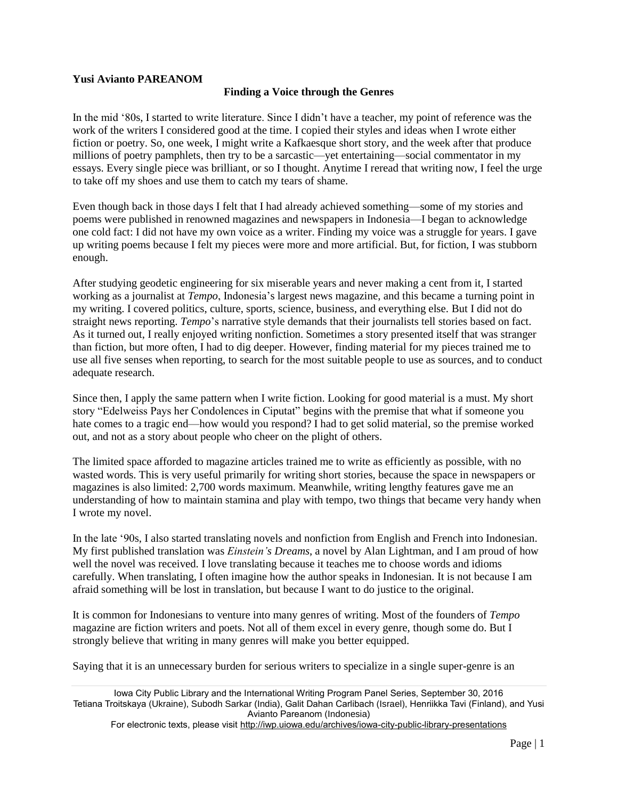## **Yusi Avianto PAREANOM**

## **Finding a Voice through the Genres**

In the mid '80s, I started to write literature. Since I didn't have a teacher, my point of reference was the work of the writers I considered good at the time. I copied their styles and ideas when I wrote either fiction or poetry. So, one week, I might write a Kafkaesque short story, and the week after that produce millions of poetry pamphlets, then try to be a sarcastic—yet entertaining—social commentator in my essays. Every single piece was brilliant, or so I thought. Anytime I reread that writing now, I feel the urge to take off my shoes and use them to catch my tears of shame.

Even though back in those days I felt that I had already achieved something—some of my stories and poems were published in renowned magazines and newspapers in Indonesia—I began to acknowledge one cold fact: I did not have my own voice as a writer. Finding my voice was a struggle for years. I gave up writing poems because I felt my pieces were more and more artificial. But, for fiction, I was stubborn enough.

After studying geodetic engineering for six miserable years and never making a cent from it, I started working as a journalist at *Tempo*, Indonesia's largest news magazine, and this became a turning point in my writing. I covered politics, culture, sports, science, business, and everything else. But I did not do straight news reporting. *Tempo*'s narrative style demands that their journalists tell stories based on fact. As it turned out, I really enjoyed writing nonfiction. Sometimes a story presented itself that was stranger than fiction, but more often, I had to dig deeper. However, finding material for my pieces trained me to use all five senses when reporting, to search for the most suitable people to use as sources, and to conduct adequate research.

Since then, I apply the same pattern when I write fiction. Looking for good material is a must. My short story "Edelweiss Pays her Condolences in Ciputat" begins with the premise that what if someone you hate comes to a tragic end—how would you respond? I had to get solid material, so the premise worked out, and not as a story about people who cheer on the plight of others.

The limited space afforded to magazine articles trained me to write as efficiently as possible, with no wasted words. This is very useful primarily for writing short stories, because the space in newspapers or magazines is also limited: 2,700 words maximum. Meanwhile, writing lengthy features gave me an understanding of how to maintain stamina and play with tempo, two things that became very handy when I wrote my novel.

In the late '90s, I also started translating novels and nonfiction from English and French into Indonesian. My first published translation was *Einstein's Dreams*, a novel by Alan Lightman, and I am proud of how well the novel was received. I love translating because it teaches me to choose words and idioms carefully. When translating, I often imagine how the author speaks in Indonesian. It is not because I am afraid something will be lost in translation, but because I want to do justice to the original.

It is common for Indonesians to venture into many genres of writing. Most of the founders of *Tempo* magazine are fiction writers and poets. Not all of them excel in every genre, though some do. But I strongly believe that writing in many genres will make you better equipped.

Saying that it is an unnecessary burden for serious writers to specialize in a single super-genre is an

Iowa City Public Library and the International Writing Program Panel Series, September 30, 2016 Tetiana Troitskaya (Ukraine), Subodh Sarkar (India), Galit Dahan Carlibach (Israel), Henriikka Tavi (Finland), and Yusi Avianto Pareanom (Indonesia)

For electronic texts, please visit<http://iwp.uiowa.edu/archives/iowa-city-public-library-presentations>